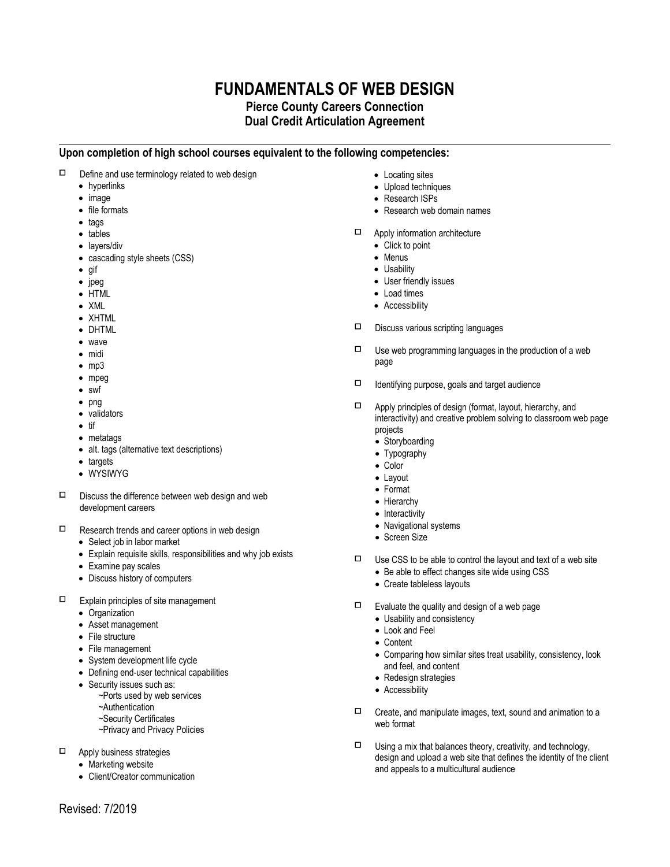## **FUNDAMENTALS OF WEB DESIGN**

## **Pierce County Careers Connection Dual Credit Articulation Agreement**

**Upon completion of high school courses equivalent to the following competencies:**

- $\Box$  Define and use terminology related to web design
	- hyperlinks
	- image
	- file formats
	- tags
	- tables
	- lavers/div
	- cascading style sheets (CSS)
	- $\bullet$  gif
	- $\bullet$  jpeg
	- HTML
	- XML
	- XHTML
	- DHTML
	- wave
	- midi
	- $emp3$
	- mpeg
	- swf  $\bullet$  png
	- validators
	- $\bullet$  tif
	- metatags
	- alt. tags (alternative text descriptions)
	- targets
	- WYSIWYG
- $\square$  Discuss the difference between web design and web development careers
- $\Box$  Research trends and career options in web design
	- Select job in labor market
	- Explain requisite skills, responsibilities and why job exists
	- Examine pay scales
	- Discuss history of computers
- $\Box$  Explain principles of site management
	- Organization
	- Asset management
	- File structure
	- File management
	- System development life cycle
	- Defining end-user technical capabilities
	- Security issues such as:
		- ~Ports used by web services
		- ~Authentication
		- ~Security Certificates
		- ~Privacy and Privacy Policies
- Apply business strategies
	- Marketing website
	- Client/Creator communication
- Locating sites
- Upload techniques
- Research ISPs
- Research web domain names
- Apply information architecture
	- Click to point
	- Menus
	- Usability
	- User friendly issues
	- Load times
	- Accessibility
- $\Box$  Discuss various scripting languages
- $\Box$  Use web programming languages in the production of a web page
- $\Box$  Identifying purpose, goals and target audience
- $\Box$  Apply principles of design (format, layout, hierarchy, and interactivity) and creative problem solving to classroom web page projects
	- Storyboarding
	- Typography
	- Color
	- Lavout
	- Format
	- Hierarchy
	- Interactivity
	- Navigational systems
	- Screen Size
- $\Box$  Use CSS to be able to control the layout and text of a web site
	- Be able to effect changes site wide using CSS
		- Create tableless layouts
- $\Box$  Evaluate the quality and design of a web page
	- Usability and consistency
	- Look and Feel
	- Content
	- Comparing how similar sites treat usability, consistency, look and feel, and content
	- Redesign strategies
	- Accessibility
- $\Box$  Create, and manipulate images, text, sound and animation to a web format
- $\Box$  Using a mix that balances theory, creativity, and technology, design and upload a web site that defines the identity of the client and appeals to a multicultural audience